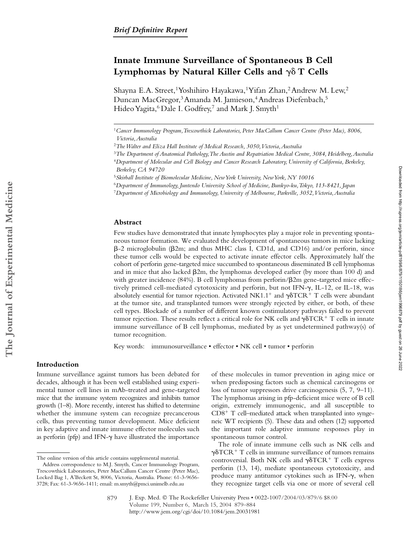# **Innate Immune Surveillance of Spontaneous B Cell**  Lymphomas by Natural Killer Cells and  $\gamma \delta$  T Cells

Shayna E.A. Street,<sup>1</sup> Yoshihiro Hayakawa,<sup>1</sup> Yifan Zhan,<sup>2</sup> Andrew M. Lew,<sup>2</sup> Duncan MacGregor,<sup>3</sup> Amanda M. Jamieson,<sup>4</sup> Andreas Diefenbach,<sup>5</sup> Hideo Yagita,<sup>6</sup> Dale I. Godfrey,<sup>7</sup> and Mark J. Smyth<sup>1</sup>

## **Abstract**

Few studies have demonstrated that innate lymphocytes play a major role in preventing spontaneous tumor formation. We evaluated the development of spontaneous tumors in mice lacking  $\beta$ -2 microglobulin ( $\beta$ 2m; and thus MHC class I, CD1d, and CD16) and/or perforin, since these tumor cells would be expected to activate innate effector cells. Approximately half the cohort of perforin gene-targeted mice succumbed to spontaneous disseminated B cell lymphomas and in mice that also lacked  $\beta$ 2m, the lymphomas developed earlier (by more than 100 d) and with greater incidence (84%). B cell lymphomas from perforin/ $\beta$ 2m gene-targeted mice effectively primed cell-mediated cytotoxicity and perforin, but not IFN- $\gamma$ , IL-12, or IL-18, was absolutely essential for tumor rejection. Activated NK1.1<sup>+</sup> and  $\gamma\delta TCR^+$  T cells were abundant at the tumor site, and transplanted tumors were strongly rejected by either, or both, of these cell types. Blockade of a number of different known costimulatory pathways failed to prevent tumor rejection. These results reflect a critical role for NK cells and  $\gamma\delta \text{TCR}^+\text{ T}$  cells in innate immune surveillance of B cell lymphomas, mediated by as yet undetermined pathway(s) of tumor recognition.

Key words: immunosurveillance • effector • NK cell • tumor • perforin

## **Introduction**

Immune surveillance against tumors has been debated for decades, although it has been well established using experimental tumor cell lines in mAb-treated and gene-targeted mice that the immune system recognizes and inhibits tumor growth (1–8). More recently, interest has shifted to determine whether the immune system can recognize precancerous cells, thus preventing tumor development. Mice deficient in key adaptive and innate immune effector molecules such as perforin (pfp) and IFN- $\gamma$  have illustrated the importance

of these molecules in tumor prevention in aging mice or when predisposing factors such as chemical carcinogens or loss of tumor suppressors drive carcinogenesis (5, 7, 9–11). The lymphomas arising in pfp-deficient mice were of B cell origin, extremely immunogenic, and all susceptible to  $CD8<sup>+</sup>$  T cell–mediated attack when transplanted into syngeneic WT recipients (5). These data and others (12) supported the important role adaptive immune responses play in spontaneous tumor control.

The role of innate immune cells such as NK cells and  $\gamma \delta \text{TCR}^+ \text{ T}$  cells in immune surveillance of tumors remains controversial. Both NK cells and  $\gamma\delta TCR^+$  T cells express perforin (13, 14), mediate spontaneous cytotoxicity, and produce many antitumor cytokines such as IFN-y, when they recognize target cells via one or more of several cell

J. Exp. Med. The Rockefeller University Press • 0022-1007/2004/03/879/6 \$8.00 Volume 199, Number 6, March 15, 2004 879–884 http://www.jem.org/cgi/doi/10.1084/jem.20031981 879

<sup>1</sup>*Cancer Immunology Program, Trescowthick Laboratories, Peter MacCallum Cancer Centre (Peter Mac), 8006, Victoria, Australia*

<sup>2</sup>*The Walter and Eliza Hall Institute of Medical Research, 3050, Victoria, Australia*

<sup>3</sup>*The Department of Anatomical Pathology, The Austin and Repatriation Medical Centre, 3084, Heidelberg, Australia* <sup>4</sup>*Department of Molecular and Cell Biology and Cancer Research Laboratory, University of California, Berkeley,* 

*Berkeley, CA 94720*

<sup>5</sup>*Skirball Institute of Biomolecular Medicine, New York University, New York, NY 10016*

<sup>6</sup>*Department of Immunology, Juntendo University School of Medicine, Bunkyo-ku, Tokyo, 113-8421, Japan*

<sup>7</sup>*Department of Microbiology and Immunology, University of Melbourne, Parkville, 3052, Victoria, Australia*

The online version of this article contains supplemental material.

Address correspondence to M.J. Smyth, Cancer Immunology Program, Trescowthick Laboratories, Peter MacCallum Cancer Centre (Peter Mac), Locked Bag 1, A'Beckett St, 8006, Victoria, Australia. Phone: 61-3-9656- 3728; Fax: 61-3-9656-1411; email: m.smyth@pmci.unimelb.edu.au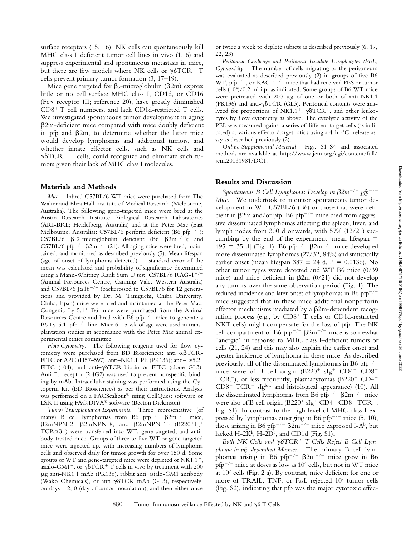surface receptors (15, 16). NK cells can spontaneously kill MHC class I–deficient tumor cell lines in vivo (1, 6) and suppress experimental and spontaneous metastasis in mice, but there are few models where NK cells or  $\gamma\delta TCR^+$  T cells prevent primary tumor formation (3, 17–19).

Mice gene targeted for  $\beta_2$ -microglobulin ( $\beta$ 2m) express little or no cell surface MHC class I, CD1d, or CD16 (Fc $\gamma$  receptor III; reference 20), have greatly diminished  $CD8<sup>+</sup>$  T cell numbers, and lack CD1d-restricted T cells. We investigated spontaneous tumor development in aging 2m-deficient mice compared with mice doubly deficient in pfp and  $\beta$ 2m, to determine whether the latter mice would develop lymphomas and additional tumors, and whether innate effector cells, such as NK cells and  $\gamma\delta\text{TCR}^+$  T cells, could recognize and eliminate such tumors given their lack of MHC class I molecules.

#### **Materials and Methods**

*Mice.* Inbred C57BL/6 WT mice were purchased from The Walter and Eliza Hall Institute of Medical Research (Melbourne, Australia). The following gene-targeted mice were bred at the Austin Research Institute Biological Research Laboratories (ARI-BRL; Heidelberg, Australia) and at the Peter Mac (East Melbourne, Australia): C57BL/6 perforin deficient (B6 pfp<sup>-/-</sup>); C57BL/6  $\beta$ -2-microglobulin deficient (B6  $\beta$ 2m<sup>-/-</sup>); and C57BL/6 pfp<sup>-/-</sup>  $\beta$ 2m<sup>-/-</sup> (21). All aging mice were bred, maintained, and monitored as described previously (5). Mean lifespan (age of onset of lymphoma detected)  $\pm$  standard error of the mean was calculated and probability of significance determined using a Mann-Whitney Rank Sum U test. C57BL/6 RAG-1 $^{-/-}$ (Animal Resources Centre, Canning Vale, Western Australia) and C57BL/6 J $\alpha$ 18<sup>-/-</sup> (backcrossed to C57BL/6 for 12 generations and provided by Dr. M. Taniguchi, Chiba University, Chiba, Japan) mice were bred and maintained at the Peter Mac. Congenic Ly-5.1<sup>+</sup> B6 mice were purchased from the Animal Resources Centre and bred with B6 pfp $^{-/-}$  mice to generate a B6 Ly-5.1+pfp<sup>-/-</sup> line. Mice 6–15 wk of age were used in transplantation studies in accordance with the Peter Mac animal experimental ethics committee.

*Flow Cytometry.* The following reagents used for flow cytometry were purchased from BD Biosciences: anti $-\alpha\beta TCR$ -FITC or APC (H57–597); anti–NK1.1-PE (PK136); anti–Ly5.2- FITC (104); and anti- $\gamma\delta$ TCR-biotin or FITC (clone GL3). Anti-Fc receptor (2.4G2) was used to prevent nonspecific binding by mAb. Intracellular staining was performed using the Cytoperm Kit (BD Biosciences) as per their instructions. Analysis was performed on a FACScalibur® using CellQuest software or LSR II using FACsDIVA® software (Becton Dickinson).

*Tumor Transplantation Experiments.* Three representative (of many) B cell lymphomas from B6 pfp<sup>-/-</sup>  $\beta$ 2m<sup>-/-</sup> mice,  $\beta$ 2mNPN-2,  $\beta$ 2mNPN-8, and  $\beta$ 2mNPN-10 (B220<sup>+</sup>Ig<sup>+</sup>  $TCR\alpha\beta$ <sup>-</sup>) were transferred into WT, gene-targeted, and antibody-treated mice. Groups of three to five WT or gene-targeted mice were injected i.p. with increasing numbers of lymphoma cells and observed daily for tumor growth for over 150 d. Some groups of WT and gene-targeted mice were depleted of NK1.1<sup>+</sup>, asialo-GM1<sup>+</sup>, or  $\gamma\delta\text{TCR}^+ \text{T}$  cells in vivo by treatment with 200 g anti-NK1.1 mAb (PK136), rabbit anti–asialo-GM1 antibody (Wako Chemicals), or anti- $\gamma\delta$ TCR mAb (GL3), respectively, on days  $-2$ , 0 (day of tumor inoculation), and then either once

or twice a week to deplete subsets as described previously (6, 17, 22, 23).

*Peritoneal Challenge and Peritoneal Exudate Lymphocytes (PEL) Cytotoxicity.* The number of cells migrating to the peritoneum was evaluated as described previously (2) in groups of five B6 WT, pfp<sup>-/-</sup>, or RAG-1<sup>-/-</sup> mice that had received PBS or tumor cells (104)/0.2 ml i.p. as indicated. Some groups of B6 WT mice were pretreated with  $200 \mu g$  of one or both of anti-NK1.1 (PK136) and anti- $\gamma\delta$ TCR (GL3). Peritoneal contents were analyzed for proportions of NK1.1<sup>+</sup>,  $\gamma\delta TCR^+$ , and other leukocytes by flow cytometry as above. The cytolytic activity of the PEL was measured against a series of different target cells (as indicated) at various effector/target ratios using a 4-h 51Cr release assay as described previously (2).

*Online Supplemental Material.* Figs. S1–S4 and associated methods are available at http://www.jem.org/cgi/content/full/ jem.20031981/DC1.

#### **Results and Discussion**

*Spontaneous B Cell Lymphomas Develop in*  $\beta 2m^{-/-}$  *pfp<sup>-/-</sup> Mice.* We undertook to monitor spontaneous tumor development in WT C57BL/6 (B6) or those that were deficient in  $\beta$ 2m and/or pfp. B6 pfp<sup>-/-</sup> mice died from aggressive disseminated lymphomas affecting the spleen, liver, and lymph nodes from 300 d onwards, with 57% (12/21) succumbing by the end of the experiment [mean lifespan 495  $\pm$  35 d] (Fig. 1). B6 pfp<sup>-/-</sup>  $\beta$ 2m<sup>-/-</sup> mice developed more disseminated lymphomas (27/32, 84%) and statistically earlier onset (mean lifespan  $387 \pm 24$  d, P = 0.0136). No other tumor types were detected and WT B6 mice (0/39 mice) and mice deficient in  $\beta$ 2m (0/21) did not develop any tumors over the same observation period (Fig. 1). The reduced incidence and later onset of lymphomas in B6 pfp<sup>-/-</sup> mice suggested that in these mice additional nonperforin effector mechanisms mediated by a  $\beta$ 2m-dependent recognition process (e.g., by  $CDS^+$  T cells or CD1d-restricted NKT cells) might compensate for the loss of pfp. The NK cell compartment of B6 pfp<sup>-/-</sup>  $\beta$ 2m<sup>-/-</sup> mice is somewhat "anergic" in response to MHC class I–deficient tumors or cells (21, 24) and this may also explain the earlier onset and greater incidence of lymphoma in these mice. As described previously, all of the disseminated lymphomas in B6 pfp<sup>-/-</sup> mice were of B cell origin  $(B220^+ \text{ sIg}^+ \text{ CD4}^- \text{ CD8}^-$ TCR<sup>-</sup>), or less frequently, plasmacytomas  $(B220<sup>+</sup>$  CD4<sup>-</sup> CD8<sup>-</sup> TCR<sup>-</sup> sIg<sup>low</sup> and histological appearance) (10). All the disseminated lymphomas from B6 pfp<sup>-/-</sup>  $\beta$ 2m<sup>-/-</sup> mice were also of B cell origin  $(B220^{+} \text{ sIg}^{+} \text{CD4}^{-} \text{CD8}^{-} \text{TCR}^{-}$ ; Fig. S1). In contrast to the high level of MHC class I expressed by lymphomas emerging in B6 pfp<sup>-/-</sup> mice (5, 10), those arising in B6 pfp<sup>-/-</sup>  $\beta$ 2m<sup>-/-</sup> mice expressed I-A<sup>b</sup>, but lacked H-2K<sup>b</sup>, H-2D<sup>b</sup>, and CD1d (Fig. S1).

*Both NK Cells and γδTCR<sup>+</sup> T Cells Reject B Cell Lymphoma in pfp-dependent Manner.* The primary B cell lymphomas arising in B6 pfp<sup>-/-</sup>  $\beta$ 2m<sup>-/-</sup> mice grew in B6 pfp<sup>-/-</sup> mice at doses as low as  $10^4$  cells, but not in WT mice at  $10<sup>7</sup>$  cells (Fig. 2 a). By contrast, mice deficient for one or more of TRAIL, TNF, or FasL rejected 107 tumor cells (Fig. S2), indicating that pfp was the major cytotoxic effec-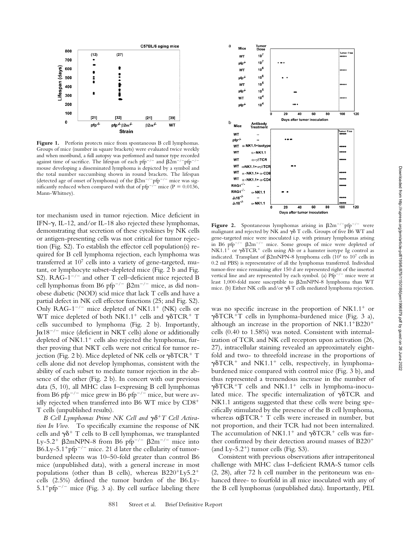

Figure 1. Perforin protects mice from spontaneous B cell lymphomas. Groups of mice (number in square brackets) were evaluated twice weekly and when moribund, a full autopsy was performed and tumor type recorded against time of sacrifice. The lifespan of each pfp<sup>-/-</sup> and  $\beta$ 2m<sup>-/-</sup>pfp<sup>-</sup> mouse developing a disseminated lymphoma is depicted by a symbol and the total number succumbing shown in round brackets. The lifespan (detected age of onset of lymphoma) of the  $\beta 2m^{-/-}pfp^{-/-}$  mice was significantly reduced when compared with that of pfp<sup>-/-</sup> mice (P =  $0.0136$ , Mann-Whitney).

tor mechanism used in tumor rejection. Mice deficient in IFN- $\gamma$ , IL-12, and/or IL-18 also rejected these lymphomas, demonstrating that secretion of these cytokines by NK cells or antigen-presenting cells was not critical for tumor rejection (Fig. S2). To establish the effector cell population(s) required for B cell lymphoma rejection, each lymphoma was transferred at 107 cells into a variety of gene-targeted, mutant, or lymphocyte subset–depleted mice (Fig. 2 b and Fig. S2).  $RAG-1^{-/-}$  and other T cell–deficient mice rejected B cell lymphomas from B6 pfp<sup>-/-</sup>  $\beta$ 2m<sup>-/-</sup> mice, as did nonobese diabetic (NOD) scid mice that lack T cells and have a partial defect in NK cell effector functions (25; and Fig. S2). Only RAG-1<sup>-/-</sup> mice depleted of NK1.1<sup>+</sup> (NK) cells or WT mice depleted of both NK1.1<sup>+</sup> cells and  $\gamma\delta TCR$ <sup>+</sup> T cells succumbed to lymphoma (Fig. 2 b). Importantly,  $\int \alpha 18^{-/-}$  mice (deficient in NKT cells) alone or additionally depleted of  $N<sub>K1.1</sub><sup>+</sup>$  cells also rejected the lymphomas, further proving that NKT cells were not critical for tumor rejection (Fig. 2 b). Mice depleted of NK cells or  $\gamma\delta \text{TCR}^+ \text{ T}$ cells alone did not develop lymphomas, consistent with the ability of each subset to mediate tumor rejection in the absence of the other (Fig. 2 b). In concert with our previous data (5, 10), all MHC class I–expressing B cell lymphomas from B6 pfp<sup>-/-</sup> mice grew in B6 pfp<sup>-/-</sup> mice, but were avidly rejected when transferred into B6 WT mice by CD8 T cells (unpublished results).

*B* Cell Lymphomas Prime NK Cell and  $\gamma \delta^+ T$  Cell Activa*tion In Vivo.* To specifically examine the response of NK cells and  $\gamma\delta^+$  T cells to B cell lymphomas, we transplanted Ly-5.2<sup>+</sup>  $\beta$ 2mNPN-8 from B6 pfp<sup>-/-</sup>  $\beta$ 2m<sup>-/-</sup> mice into B6.Ly-5.1<sup>+</sup>pfp<sup>-/-</sup> mice. 21 d later the cellularity of tumorburdened spleens was 10–50-fold greater than control B6 mice (unpublished data), with a general increase in most populations (other than B cells), whereas  $B220^{+}Ly5.2^{+}$ cells (2.5%) defined the tumor burden of the B6.Ly- $5.1^{\circ}$ pfp<sup>-/-</sup> mice (Fig. 3 a). By cell surface labeling there



**Figure 2.** Spontaneous lymphomas arising in  $\beta 2m^{-1}$  pfp<sup>-/-</sup> were malignant and rejected by NK and  $\gamma\delta$  T cells. Groups of five B6 WT and gene-targeted mice were inoculated i.p. with primary lymphomas arising in B6 pfp<sup>-/-</sup>  $\beta$ 2m<sup>-/-</sup> mice. Some groups of mice were depleted of NK1.1<sup>+</sup> or  $\gamma\delta$ TCR<sup>+</sup> cells using Ab or a hamster isotype Ig control as indicated. Transplant of  $\beta$ 2mNPN-8 lymphoma cells (10<sup>4</sup> to 10<sup>7</sup> cells in 0.2 ml PBS) is representative of all the lymphomas transferred. Individual tumor-free mice remaining after 150 d are represented right of the inserted vertical line and are represented by each symbol. (a)  $Pfp^{-/-}$  mice were at least 1,000-fold more susceptible to 2mNPN-8 lymphoma than WT mice. (b) Either NK cells and/or  $\gamma\delta$  T cells mediated lymphoma rejection.

was no specific increase in the proportion of  $N<sub>K1.1<sup>+</sup></sub>$  or  $\gamma$  $\delta$ TCR<sup>+</sup>T cells in lymphoma-burdened mice (Fig. 3 a), although an increase in the proportion of NK1.1+B220+ cells (0.40 to 1.58%) was noted. Consistent with internalization of TCR and NK cell receptors upon activation (26, 27), intracellular staining revealed an approximately eightfold and two- to threefold increase in the proportions of  $\gamma\delta TCR^+$  and NK1.1<sup>+</sup> cells, respectively, in lymphomaburdened mice compared with control mice (Fig. 3 b), and thus represented a tremendous increase in the number of  $\gamma\delta TCR^+T$  cells and NK1.1<sup>+</sup> cells in lymphoma-inoculated mice. The specific internalization of  $\gamma\delta$ TCR and NK1.1 antigens suggested that these cells were being specifically stimulated by the presence of the B cell lymphoma, whereas  $\alpha\beta TCR^+$  T cells were increased in number, but not proportion, and their TCR had not been internalized. The accumulation of NK1.1<sup>+</sup> and  $\gamma\delta TCR^+$  cells was further confirmed by their detection around masses of B220 (and  $Ly-5.2^+$ ) tumor cells (Fig. S3).

Consistent with previous observations after intraperitoneal challenge with MHC class I–deficient RMA-S tumor cells (2, 28), after 72 h cell number in the peritoneum was enhanced three- to fourfold in all mice inoculated with any of the B cell lymphomas (unpublished data). Importantly, PEL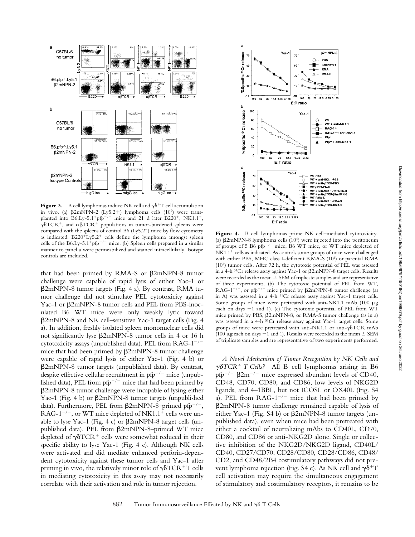

Figure 3. B cell lymphomas induce NK cell and  $\gamma\delta^+T$  cell accumulation in vivo. (a)  $\beta$ 2mNPN-2 (Ly5.2+) lymphoma cells (10<sup>7</sup>) were transplanted into B6.Ly-5.1+pfp<sup>-/-</sup> mice and 21 d later B220+, NK1.1+,  $\gamma\delta \text{TCR}^+$ , and  $\alpha\beta \text{TCR}^+$  populations in tumor-burdened spleens were compared with the spleens of control B6 (Ly5.2<sup>+</sup>) mice by flow cytometry as indicated.  $B220+Ly5.2+$  cells define the lymphoma amongst spleen cells of the B6.Ly-5.1<sup>+</sup>pfp<sup>-/-</sup> mice. (b) Spleen cells prepared in a similar manner to panel a were permeabilized and stained intracellularly. Isotype controls are included.

that had been primed by RMA-S or  $\beta$ 2mNPN-8 tumor challenge were capable of rapid lysis of either Yac-1 or 2mNPN-8 tumor targets (Fig. 4 a). By contrast, RMA tumor challenge did not stimulate PEL cytotoxicity against Yac-1 or  $\beta$ 2mNPN-8 tumor cells and PEL from PBS-inoculated B6 WT mice were only weakly lytic toward 2mNPN-8 and NK cell–sensitive Yac-1 target cells (Fig. 4 a). In addition, freshly isolated spleen mononuclear cells did not significantly lyse  $\beta$ 2mNPN-8 tumor cells in 4 or 16 h cytotoxicity assays (unpublished data). PEL from  $RAG-1^{-/-}$ mice that had been primed by  $\beta$ 2mNPN-8 tumor challenge were capable of rapid lysis of either Yac-1 (Fig. 4 b) or 2mNPN-8 tumor targets (unpublished data). By contrast, despite effective cellular recruitment in  $pfp^{-/-}$  mice (unpublished data), PEL from  $pfp^{-/-}$  mice that had been primed by 2mNPN-8 tumor challenge were incapable of lysing either Yac-1 (Fig. 4 b) or  $\beta$ 2mNPN-8 tumor targets (unpublished data). Furthermore, PEL from  $\beta$ 2mNPN-8–primed pfp<sup>-/-</sup>, RAG-1<sup>-/-</sup>, or WT mice depleted of NK1.1<sup>+</sup> cells were unable to lyse Yac-1 (Fig. 4 c) or  $\beta$ 2mNPN-8 target cells (unpublished data). PEL from  $\beta$ 2mNPN-8–primed WT mice depleted of  $\gamma \delta T C R^+$  cells were somewhat reduced in their specific ability to lyse Yac-1 (Fig. 4 c). Although NK cells were activated and did mediate enhanced perforin-dependent cytotoxicity against these tumor cells and Yac-1 after priming in vivo, the relatively minor role of  $\gamma\delta TCR^+T$  cells in mediating cytotoxicity in this assay may not necessarily correlate with their activation and role in tumor rejection.



**Figure 4.** B cell lymphomas prime NK cell–mediated cytotoxicity. (a)  $\beta$ 2mNPN-8 lymphoma cells (10<sup>4</sup>) were injected into the peritoneum of groups of 5 B6 pfp<sup>-/-</sup> mice, B6 WT mice, or WT mice depleted of  $NK1.1<sup>+</sup>$  cells as indicated. As controls some groups of mice were challenged with either PBS, MHC class I-deficient RMA-S (10<sup>4</sup>) or parental RMA (104) tumor cells. After 72 h, the cytotoxic potential of PEL was assessed in a 4-h  ${}^{51}Cr$  release assay against Yac-1 or  $\beta$ 2mNPN-8 target cells. Results were recorded as the mean  $\pm$  SEM of triplicate samples and are representative of three experiments. (b) The cytotoxic potential of PEL from WT, RAG-1<sup>-/-</sup>, or pfp<sup>-/-</sup> mice primed by  $\beta$ 2mNPN-8 tumor challenge (as in A) was assessed in a 4-h 51Cr release assay against Yac-1 target cells. Some groups of mice were pretreated with anti-NK1.1 mAb (100  $\mu$ g each on days  $-1$  and 1). (c) The cytotoxic potential of PEL from WT mice primed by PBS,  $\beta$ 2mNPN-8, or RMA-S tumor challenge (as in a) was assessed in a 4-h 51Cr release assay against Yac-1 target cells. Some groups of mice were pretreated with anti-NK1.1 or anti- $\gamma\delta$ TCR mAb (100  $\mu$ g each on days -1 and 1). Results were recorded as the mean  $\pm$  SEM of triplicate samples and are representative of two experiments performed.

*A Novel Mechanism of Tumor Recognition by NK Cells and* γδTCR<sup>+</sup> T Cells? All B cell lymphomas arising in B6 pfp<sup>-/-</sup>  $\beta$ 2m<sup>-/-</sup> mice expressed abundant levels of CD40, CD48, CD70, CD80, and CD86, low levels of NKG2D ligands, and 4–1BBL, but not ICOSL or OX40L (Fig. S4 a). PEL from  $RAG-1^{-/-}$  mice that had been primed by 2mNPN-8 tumor challenge remained capable of lysis of either Yac-1 (Fig. S4 b) or  $\beta$ 2mNPN-8 tumor targets (unpublished data), even when mice had been pretreated with either a cocktail of neutralizing mAbs to CD40L, CD70, CD80, and CD86 or anti-NKG2D alone. Single or collective inhibition of the NKG2D/NKG2D ligand, CD40L/ CD40, CD27/CD70, CD28/CD80, CD28/CD86, CD48/ CD2, and CD48/2B4 costimulatory pathways did not prevent lymphoma rejection (Fig. S4 c). As NK cell and  $\gamma\delta^+ T$ cell activation may require the simultaneous engagement of stimulatory and costimulatory receptors, it remains to be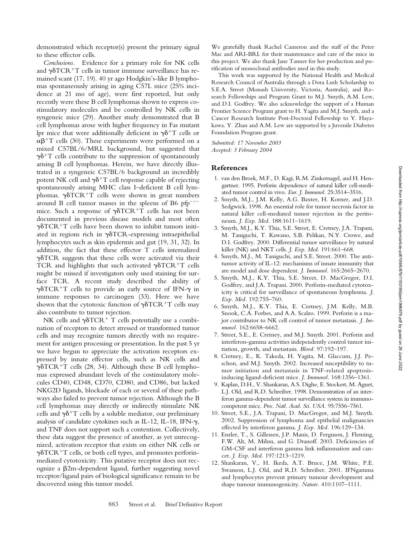Downloaded from http://rupress.org/jem/article-pdf/199/6/879/1150186/jem1996879.pdf by guest on 26 June 2022 Downloaded from http://rupress.org/jem/article-pdf/199/6/879/1150186/jem1996879.pdf by guest on 26 June 2022

demonstrated which receptor(s) present the primary signal to these effector cells.

*Conclusions.* Evidence for a primary role for NK cells and  $\gamma \delta \text{TCR}\,{}^+\text{T}$  cells in tumor immune surveillance has remained scant (17, 19). 40 yr ago Hodgkin's-like B lymphomas spontaneously arising in aging C57L mice (25% incidence at 21 mo of age), were first reported, but only recently were these B cell lymphomas shown to express costimulatory molecules and be controlled by NK cells in syngeneic mice (29). Another study demonstrated that B cell lymphomas arose with higher frequency in Fas mutant lpr mice that were additionally deficient in  $\gamma\delta^+ T$  cells or  $\alpha\beta$ <sup>+</sup>T cells (30). These experiments were performed on a mixed C57BL/6/MRL background, but suggested that  $\gamma\delta^+$ T cells contribute to the suppression of spontaneously arising B cell lymphomas. Herein, we have directly illustrated in a syngeneic C57BL/6 background an incredibly potent NK cell and  $\gamma\delta^+ T$  cell response capable of rejecting spontaneously arising MHC class I–deficient B cell lymphomas.  $\gamma\delta TCR$ <sup>+</sup>T cells were shown in great numbers around B cell tumor masses in the spleens of B6 pfp<sup>-/-</sup> mice. Such a response of  $\gamma\delta TCR^+T$  cells has not been documented in previous disease models and most often  $\gamma\delta\text{TCR}^+\text{T}$  cells have been shown to inhibit tumors initiated in regions rich in  $\gamma\delta$ TCR-expressing intraepithelial lymphocytes such as skin epidermis and gut (19, 31, 32). In addition, the fact that these effector T cells internalized -TCR suggests that these cells were activated via their TCR and highlights that such activated  $\gamma\delta TCR^+T$  cells might be missed if investigators only used staining for surface TCR. A recent study described the ability of  $\gamma\delta TCR^+T$  cells to provide an early source of IFN- $\gamma$  in immune responses to carcinogen (33). Here we have shown that the cytotoxic function of  $\gamma\delta TCR^+T$  cells may also contribute to tumor rejection.

NK cells and  $\gamma\delta TCR^+$  T cells potentially use a combination of receptors to detect stressed or transformed tumor cells and may recognize tumors directly with no requirement for antigen processing or presentation. In the past 5 yr we have begun to appreciate the activation receptors expressed by innate effector cells, such as NK cells and  $\gamma$  $\delta$ TCR<sup>+</sup>T cells (28, 34). Although these B cell lymphomas expressed abundant levels of the costimulatory molecules CD40, CD48, CD70, CD80, and CD86, but lacked NKG2D ligands, blockade of each or several of these pathways also failed to prevent tumor rejection. Although the B cell lymphomas may directly or indirectly stimulate NK cells and  $\gamma\delta^+T$  cells by a soluble mediator, our preliminary analysis of candidate cytokines such as IL-12, IL-18, IFN- $\gamma$ , and TNF does not support such a contention. Collectively, these data suggest the presence of another, as yet unrecognized, activation receptor that exists on either NK cells or  $\gamma\delta\text{TCR}^+\text{T}$  cells, or both cell types, and promotes perforinmediated cytotoxicity. This putative receptor does not recognize a  $\beta$ 2m-dependent ligand, further suggesting novel receptor/ligand pairs of biological significance remain to be discovered using this tumor model.

We gratefully thank Rachel Cameron and the staff of the Peter Mac and ARI-BRL for their maintenance and care of the mice in this project. We also thank Jane Tanner for her production and purification of monoclonal antibodies used in this study.

This work was supported by the National Health and Medical Research Council of Australia through a Dora Lush Scholarship to S.E.A. Street (Monash University, Victoria, Australia), and Research Fellowships and Program Grant to M.J. Smyth, A.M. Lew, and D.I. Godfrey. We also acknowledge the support of a Human Frontier Science Program grant to H. Yagita and M.J. Smyth, and a Cancer Research Institute Post-Doctoral Fellowship to Y. Hayakawa. Y. Zhan and A.M. Lew are supported by a Juvenile Diabetes Foundation Program grant.

*Submitted: 17 November 2003 Accepted: 3 February 2004*

## **References**

- 1. van den Broek, M.F., D. Kagi, R.M. Zinkernagel, and H. Hengartner. 1995. Perforin dependence of natural killer cell-mediated tumor control in vivo. *Eur. J. Immunol.* 25:3514–3516.
- 2. Smyth, M.J., J.M. Kelly, A.G. Baxter, H. Korner, and J.D. Sedgwick. 1998. An essential role for tumor necrosis factor in natural killer cell-mediated tumor rejection in the peritoneum. *J. Exp. Med.* 188:1611–1619.
- 3. Smyth, M.J., K.Y. Thia, S.E. Street, E. Cretney, J.A. Trapani, M. Taniguchi, T. Kawano, S.B. Pelikan, N.Y. Crowe, and D.I. Godfrey. 2000. Differential tumor surveillance by natural killer (NK) and NKT cells. *J. Exp. Med.* 191:661–668.
- 4. Smyth, M.J., M. Taniguchi, and S.E. Street. 2000. The antitumor activity of IL-12: mechanisms of innate immunity that are model and dose dependent. *J. Immunol.* 165:2665–2670.
- 5. Smyth, M.J., K.Y. Thia, S.E. Street, D. MacGregor, D.I. Godfrey, and J.A. Trapani. 2000. Perforin-mediated cytotoxicity is critical for surveillance of spontaneous lymphoma. *J. Exp. Med.* 192:755–760.
- 6. Smyth, M.J., K.Y. Thia, E. Cretney, J.M. Kelly, M.B. Snook, C.A. Forbes, and A.A. Scalzo. 1999. Perforin is a major contributor to NK cell control of tumor metastasis. *J. Immunol.* 162:6658–6662.
- 7. Street, S.E., E. Cretney, and M.J. Smyth. 2001. Perforin and interferon-gamma activities independently control tumor initiation, growth, and metastasis. *Blood.* 97:192–197.
- 8. Cretney, E., K. Takeda, H. Yagita, M. Glaccum, J.J. Peschon, and M.J. Smyth. 2002. Increased susceptibility to tumor initiation and metastasis in TNF-related apoptosisinducing ligand-deficient mice. *J. Immunol.* 168:1356–1361.
- 9. Kaplan, D.H., V. Shankaran, A.S. Dighe, E. Stockert, M. Aguet, L.J. Old, and R.D. Schreiber. 1998. Demonstration of an interferon gamma-dependent tumor surveillance system in immunocompetent mice. *Proc. Natl. Acad. Sci. USA.* 95:7556–7561.
- 10. Street, S.E., J.A. Trapani, D. MacGregor, and M.J. Smyth. 2002. Suppression of lymphoma and epithelial malignancies effected by interferon gamma. *J. Exp. Med.* 196:129–134.
- 11. Enzler, T., S. Gillessen, J.P. Manis, D. Ferguson, J. Fleming, F.W. Alt, M. Mihm, and G. Dranoff. 2003. Deficiencies of GM-CSF and interferon gamma link inflammation and cancer. *J. Exp. Med.* 197:1213–1219.
- 12. Shankaran, V., H. Ikeda, A.T. Bruce, J.M. White, P.E. Swanson, L.J. Old, and R.D. Schreiber. 2001. IFNgamma and lymphocytes prevent primary tumour development and shape tumour immunogenicity. *Nature.* 410:1107–1111.